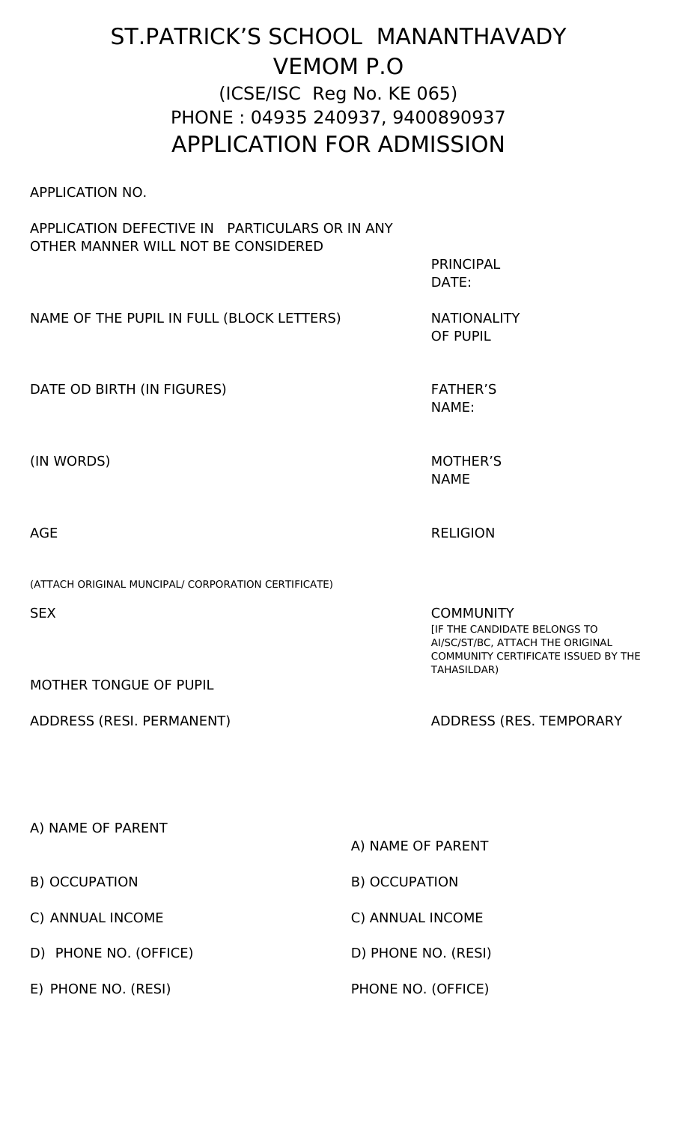## ST.PATRICK'S SCHOOL MANANTHAVADY VEMOM P.O (ICSE/ISC Reg No. KE 065) PHONE : 04935 240937, 9400890937 APPLICATION FOR ADMISSION

APPLICATION NO.

## APPLICATION DEFECTIVE IN PARTICULARS OR IN ANY OTHER MANNER WILL NOT BE CONSIDERED

NAME OF THE PUPIL IN FULL (BLOCK LETTERS) NATIONALITY

DATE OD BIRTH (IN FIGURES) FATHER'S

(IN WORDS) MOTHER'S

(ATTACH ORIGINAL MUNCIPAL/ CORPORATION CERTIFICATE)

MOTHER TONGUE OF PUPIL

ADDRESS (RESI. PERMANENT) ADDRESS (RES. TEMPORARY

NAME:

OF PUPIL

PRINCIPAL

DATE:

NAME

AGE RELIGION

SEX COMMUNITY [IF THE CANDIDATE BELONGS TO AI/SC/ST/BC, ATTACH THE ORIGINAL COMMUNITY CERTIFICATE ISSUED BY THE TAHASILDAR)

| A) NAME OF PARENT     |                     |
|-----------------------|---------------------|
|                       | A) NAME OF PARENT   |
| B) OCCUPATION         | B) OCCUPATION       |
| C) ANNUAL INCOME      | C) ANNUAL INCOME    |
| D) PHONE NO. (OFFICE) | D) PHONE NO. (RESI) |
| E) PHONE NO. (RESI)   | PHONE NO. (OFFICE)  |